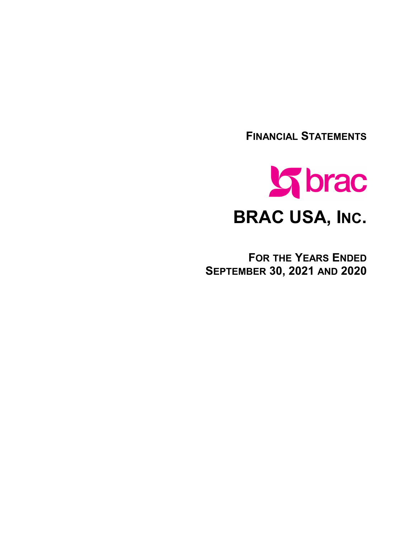**FINANCIAL STATEMENTS**



**FOR THE YEARS ENDED SEPTEMBER 30, 2021 AND 2020**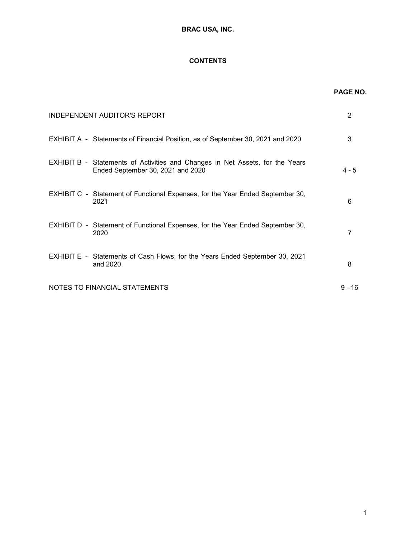# **CONTENTS**

|                                                                                                                           | <b>PAGE NO.</b> |
|---------------------------------------------------------------------------------------------------------------------------|-----------------|
| <b>INDEPENDENT AUDITOR'S REPORT</b>                                                                                       | $\overline{2}$  |
| EXHIBIT A - Statements of Financial Position, as of September 30, 2021 and 2020                                           | 3               |
| <b>EXHIBIT B - Statements of Activities and Changes in Net Assets, for the Years</b><br>Ended September 30, 2021 and 2020 | $4 - 5$         |
| EXHIBIT C - Statement of Functional Expenses, for the Year Ended September 30,<br>2021                                    | 6               |
| EXHIBIT D - Statement of Functional Expenses, for the Year Ended September 30,<br>2020                                    | 7               |
| EXHIBIT E - Statements of Cash Flows, for the Years Ended September 30, 2021<br>and 2020                                  | 8               |
| NOTES TO FINANCIAL STATEMENTS                                                                                             | $9 - 16$        |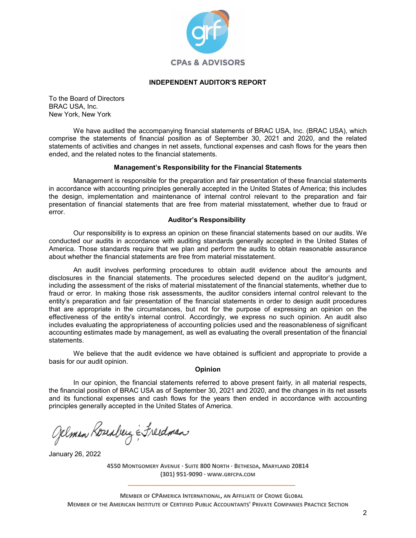

# **INDEPENDENT AUDITOR'S REPORT**

To the Board of Directors BRAC USA, Inc. New York, New York

We have audited the accompanying financial statements of BRAC USA, Inc. (BRAC USA), which comprise the statements of financial position as of September 30, 2021 and 2020, and the related statements of activities and changes in net assets, functional expenses and cash flows for the years then ended, and the related notes to the financial statements.

## **Management's Responsibility for the Financial Statements**

Management is responsible for the preparation and fair presentation of these financial statements in accordance with accounting principles generally accepted in the United States of America; this includes the design, implementation and maintenance of internal control relevant to the preparation and fair presentation of financial statements that are free from material misstatement, whether due to fraud or error.

#### **Auditor's Responsibility**

Our responsibility is to express an opinion on these financial statements based on our audits. We conducted our audits in accordance with auditing standards generally accepted in the United States of America. Those standards require that we plan and perform the audits to obtain reasonable assurance about whether the financial statements are free from material misstatement.

An audit involves performing procedures to obtain audit evidence about the amounts and disclosures in the financial statements. The procedures selected depend on the auditor's judgment, including the assessment of the risks of material misstatement of the financial statements, whether due to fraud or error. In making those risk assessments, the auditor considers internal control relevant to the entity's preparation and fair presentation of the financial statements in order to design audit procedures that are appropriate in the circumstances, but not for the purpose of expressing an opinion on the effectiveness of the entity's internal control. Accordingly, we express no such opinion. An audit also includes evaluating the appropriateness of accounting policies used and the reasonableness of significant accounting estimates made by management, as well as evaluating the overall presentation of the financial statements.

We believe that the audit evidence we have obtained is sufficient and appropriate to provide a basis for our audit opinion.

## **Opinion**

In our opinion, the financial statements referred to above present fairly, in all material respects, the financial position of BRAC USA as of September 30, 2021 and 2020, and the changes in its net assets and its functional expenses and cash flows for the years then ended in accordance with accounting principles generally accepted in the United States of America.

Gelman Roseaberg & Freedman

January 26, 2022

**4550 MONTGOMERY AVENUE · SUITE 800 NORTH · BETHESDA, MARYLAND 20814 (301) 951-9090 · WWW.GRFCPA.COM \_\_\_\_\_\_\_\_\_\_\_\_\_\_\_\_\_\_\_\_\_\_\_\_\_\_\_\_\_\_\_\_\_\_\_\_\_\_\_\_\_\_\_\_\_\_\_\_\_\_**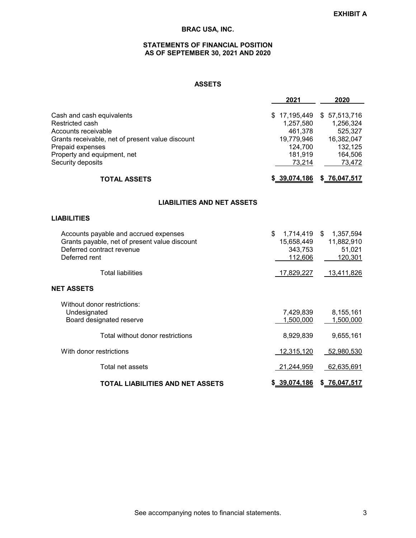# **STATEMENTS OF FINANCIAL POSITION AS OF SEPTEMBER 30, 2021 AND 2020**

# **ASSETS**

|                                                                                                                                                                                                 | 2021                                                                               | 2020                                                                               |
|-------------------------------------------------------------------------------------------------------------------------------------------------------------------------------------------------|------------------------------------------------------------------------------------|------------------------------------------------------------------------------------|
| Cash and cash equivalents<br>Restricted cash<br>Accounts receivable<br>Grants receivable, net of present value discount<br>Prepaid expenses<br>Property and equipment, net<br>Security deposits | \$17,195,449<br>1,257,580<br>461,378<br>19,779,946<br>124,700<br>181,919<br>73,214 | \$57,513,716<br>1,256,324<br>525,327<br>16,382,047<br>132,125<br>164,506<br>73,472 |
| <b>TOTAL ASSETS</b>                                                                                                                                                                             | \$ 39,074,186                                                                      | \$76,047,517                                                                       |
| <b>LIABILITIES AND NET ASSETS</b>                                                                                                                                                               |                                                                                    |                                                                                    |
| <b>LIABILITIES</b>                                                                                                                                                                              |                                                                                    |                                                                                    |
| Accounts payable and accrued expenses<br>Grants payable, net of present value discount<br>Deferred contract revenue<br>Deferred rent                                                            | \$<br>1,714,419<br>15,658,449<br>343,753<br>112,606                                | 1,357,594<br>$\mathfrak{S}$<br>11,882,910<br>51,021<br>120,301                     |
| <b>Total liabilities</b>                                                                                                                                                                        | 17,829,227                                                                         | 13,411,826                                                                         |
| <b>NET ASSETS</b>                                                                                                                                                                               |                                                                                    |                                                                                    |
| Without donor restrictions:<br>Undesignated<br>Board designated reserve                                                                                                                         | 7,429,839<br>1,500,000                                                             | 8,155,161<br>1,500,000                                                             |
| Total without donor restrictions                                                                                                                                                                | 8,929,839                                                                          | 9,655,161                                                                          |
| With donor restrictions                                                                                                                                                                         | 12,315,120                                                                         | 52,980,530                                                                         |
| Total net assets                                                                                                                                                                                | 21,244,959                                                                         | 62,635,691                                                                         |
| <b>TOTAL LIABILITIES AND NET ASSETS</b>                                                                                                                                                         | \$39,074,186                                                                       | \$76,047,517                                                                       |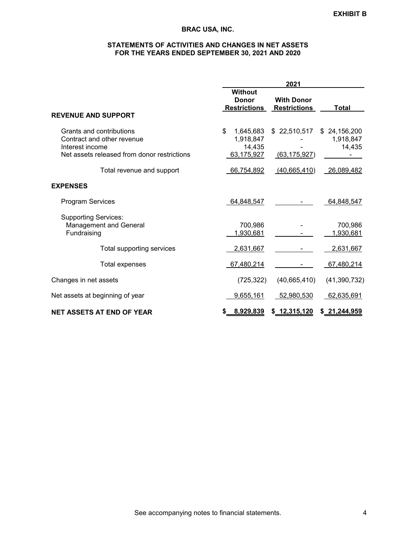# **STATEMENTS OF ACTIVITIES AND CHANGES IN NET ASSETS FOR THE YEARS ENDED SEPTEMBER 30, 2021 AND 2020**

|                                                                                                                          |                                                       | 2021                                     |                                     |
|--------------------------------------------------------------------------------------------------------------------------|-------------------------------------------------------|------------------------------------------|-------------------------------------|
| <b>REVENUE AND SUPPORT</b>                                                                                               | <b>Without</b><br><b>Donor</b><br><b>Restrictions</b> | <b>With Donor</b><br><b>Restrictions</b> | Total                               |
| Grants and contributions<br>Contract and other revenue<br>Interest income<br>Net assets released from donor restrictions | \$<br>1,645,683<br>1,918,847<br>14,435<br>63,175,927  | 22,510,517<br>\$<br>(63, 175, 927)       | \$24,156,200<br>1,918,847<br>14,435 |
| Total revenue and support                                                                                                | 66,754,892                                            | (40,665,410)                             | 26,089,482                          |
| <b>EXPENSES</b>                                                                                                          |                                                       |                                          |                                     |
| <b>Program Services</b>                                                                                                  | 64,848,547                                            |                                          | 64,848,547                          |
| <b>Supporting Services:</b><br><b>Management and General</b><br>Fundraising                                              | 700,986<br>1,930,681                                  |                                          | 700,986<br>1,930,681                |
| Total supporting services                                                                                                | 2,631,667                                             |                                          | 2,631,667                           |
| Total expenses                                                                                                           | 67,480,214                                            |                                          | 67,480,214                          |
| Changes in net assets                                                                                                    | (725, 322)                                            | (40,665,410)                             | (41, 390, 732)                      |
| Net assets at beginning of year                                                                                          | 9,655,161                                             | 52,980,530                               | 62,635,691                          |
| <b>NET ASSETS AT END OF YEAR</b>                                                                                         | 8,929,839                                             | \$ 12,315,120                            | \$21,244,959                        |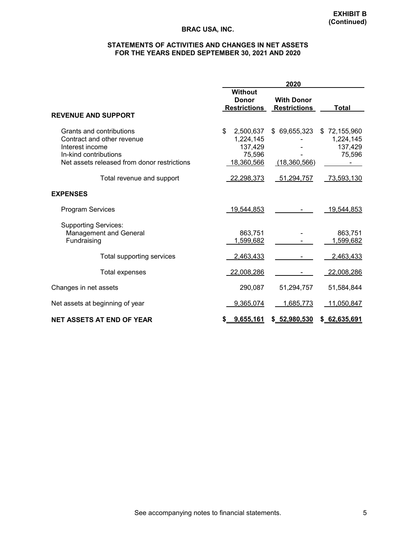# **STATEMENTS OF ACTIVITIES AND CHANGES IN NET ASSETS FOR THE YEARS ENDED SEPTEMBER 30, 2021 AND 2020**

|                                                                                                                                                                                |                                                                               | 2020                                       |                                                              |
|--------------------------------------------------------------------------------------------------------------------------------------------------------------------------------|-------------------------------------------------------------------------------|--------------------------------------------|--------------------------------------------------------------|
| <b>REVENUE AND SUPPORT</b>                                                                                                                                                     | <b>Without</b><br><b>Donor</b><br><b>Restrictions</b>                         | <b>With Donor</b><br><b>Restrictions</b>   | Total                                                        |
| Grants and contributions<br>Contract and other revenue<br>Interest income<br>In-kind contributions<br>Net assets released from donor restrictions<br>Total revenue and support | \$<br>2,500,637<br>1,224,145<br>137,429<br>75,596<br>18,360,566<br>22,298,373 | \$69,655,323<br>(18,360,566)<br>51,294,757 | \$72,155,960<br>1,224,145<br>137,429<br>75,596<br>73,593,130 |
| <b>EXPENSES</b>                                                                                                                                                                |                                                                               |                                            |                                                              |
| <b>Program Services</b>                                                                                                                                                        | 19,544,853                                                                    |                                            | 19,544,853                                                   |
| <b>Supporting Services:</b><br><b>Management and General</b><br>Fundraising                                                                                                    | 863,751<br>1,599,682                                                          |                                            | 863,751<br>1,599,682                                         |
| Total supporting services                                                                                                                                                      | 2,463,433                                                                     |                                            | 2,463,433                                                    |
| <b>Total expenses</b>                                                                                                                                                          | 22,008,286                                                                    |                                            | 22,008,286                                                   |
| Changes in net assets                                                                                                                                                          | 290,087                                                                       | 51,294,757                                 | 51,584,844                                                   |
| Net assets at beginning of year                                                                                                                                                | 9,365,074                                                                     | 1,685,773                                  | 11,050,847                                                   |
| <b>NET ASSETS AT END OF YEAR</b>                                                                                                                                               | 9,655,161<br>\$                                                               | \$52,980,530                               | \$62,635,691                                                 |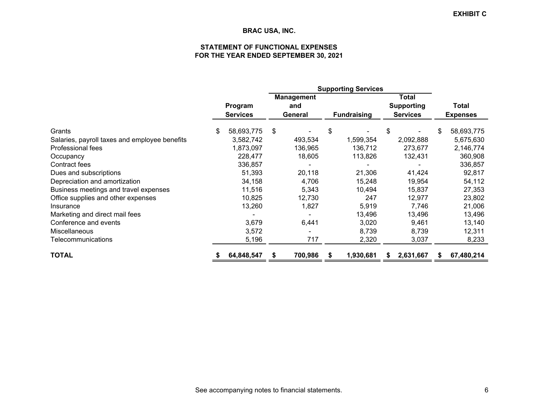## **STATEMENT OF FUNCTIONAL EXPENSES FOR THE YEAR ENDED SEPTEMBER 30, 2021**

|                                               | <b>Supporting Services</b> |                 |    |                   |    |                    |                   |                  |
|-----------------------------------------------|----------------------------|-----------------|----|-------------------|----|--------------------|-------------------|------------------|
|                                               |                            |                 |    | <b>Management</b> |    |                    | Total             |                  |
|                                               |                            | Program         |    | and               |    |                    | <b>Supporting</b> | Total            |
|                                               |                            | <b>Services</b> |    | General           |    | <b>Fundraising</b> | <b>Services</b>   | <b>Expenses</b>  |
| Grants                                        | \$                         | 58,693,775      | \$ |                   | \$ |                    | \$                | \$<br>58,693,775 |
| Salaries, payroll taxes and employee benefits |                            | 3,582,742       |    | 493,534           |    | 1,599,354          | 2,092,888         | 5,675,630        |
| Professional fees                             |                            | 1,873,097       |    | 136,965           |    | 136,712            | 273,677           | 2,146,774        |
| Occupancy                                     |                            | 228,477         |    | 18,605            |    | 113,826            | 132,431           | 360,908          |
| Contract fees                                 |                            | 336,857         |    |                   |    |                    |                   | 336,857          |
| Dues and subscriptions                        |                            | 51,393          |    | 20,118            |    | 21,306             | 41,424            | 92,817           |
| Depreciation and amortization                 |                            | 34,158          |    | 4,706             |    | 15,248             | 19,954            | 54,112           |
| Business meetings and travel expenses         |                            | 11,516          |    | 5,343             |    | 10,494             | 15,837            | 27,353           |
| Office supplies and other expenses            |                            | 10,825          |    | 12,730            |    | 247                | 12,977            | 23,802           |
| Insurance                                     |                            | 13,260          |    | 1,827             |    | 5,919              | 7,746             | 21,006           |
| Marketing and direct mail fees                |                            |                 |    |                   |    | 13,496             | 13,496            | 13,496           |
| Conference and events                         |                            | 3,679           |    | 6,441             |    | 3,020              | 9,461             | 13,140           |
| Miscellaneous                                 |                            | 3,572           |    |                   |    | 8,739              | 8,739             | 12,311           |
| Telecommunications                            |                            | 5,196           |    | 717               |    | 2,320              | 3,037             | 8,233            |
| <b>TOTAL</b>                                  |                            | 64,848,547      |    | 700,986           |    | 1,930,681          | 2,631,667         | 67,480,214       |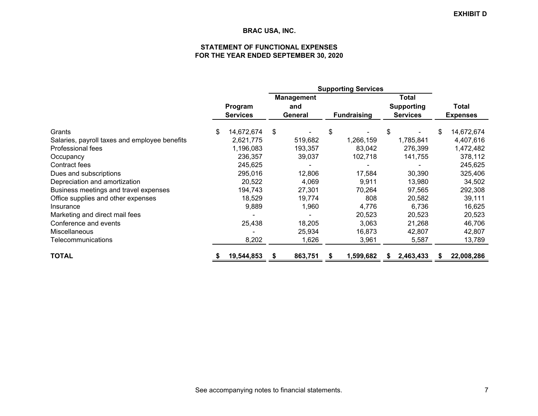#### **STATEMENT OF FUNCTIONAL EXPENSES FOR THE YEAR ENDED SEPTEMBER 30, 2020**

|                                               | <b>Supporting Services</b> |                            |    |                                     |    |                    |                                        |                                 |
|-----------------------------------------------|----------------------------|----------------------------|----|-------------------------------------|----|--------------------|----------------------------------------|---------------------------------|
|                                               |                            | Program<br><b>Services</b> |    | <b>Management</b><br>and<br>General |    | <b>Fundraising</b> | Total<br>Supporting<br><b>Services</b> | <b>Total</b><br><b>Expenses</b> |
| Grants                                        | \$                         | 14,672,674                 | \$ |                                     | \$ |                    | \$                                     | \$<br>14,672,674                |
| Salaries, payroll taxes and employee benefits |                            | 2,621,775                  |    | 519,682                             |    | 1,266,159          | 1,785,841                              | 4,407,616                       |
| Professional fees                             |                            | 1,196,083                  |    | 193,357                             |    | 83,042             | 276,399                                | 1,472,482                       |
| Occupancy                                     |                            | 236,357                    |    | 39,037                              |    | 102,718            | 141,755                                | 378,112                         |
| Contract fees                                 |                            | 245,625                    |    |                                     |    |                    |                                        | 245,625                         |
| Dues and subscriptions                        |                            | 295,016                    |    | 12,806                              |    | 17,584             | 30,390                                 | 325,406                         |
| Depreciation and amortization                 |                            | 20,522                     |    | 4,069                               |    | 9,911              | 13,980                                 | 34,502                          |
| Business meetings and travel expenses         |                            | 194,743                    |    | 27,301                              |    | 70,264             | 97,565                                 | 292,308                         |
| Office supplies and other expenses            |                            | 18,529                     |    | 19,774                              |    | 808                | 20,582                                 | 39,111                          |
| Insurance                                     |                            | 9,889                      |    | 1,960                               |    | 4,776              | 6,736                                  | 16,625                          |
| Marketing and direct mail fees                |                            |                            |    |                                     |    | 20,523             | 20,523                                 | 20,523                          |
| Conference and events                         |                            | 25,438                     |    | 18,205                              |    | 3,063              | 21,268                                 | 46,706                          |
| Miscellaneous                                 |                            |                            |    | 25,934                              |    | 16,873             | 42,807                                 | 42,807                          |
| Telecommunications                            |                            | 8,202                      |    | 1,626                               |    | 3,961              | 5,587                                  | 13,789                          |
| <b>TOTAL</b>                                  |                            | 19,544,853                 |    | 863,751                             |    | 1,599,682          | 2,463,433                              | 22,008,286                      |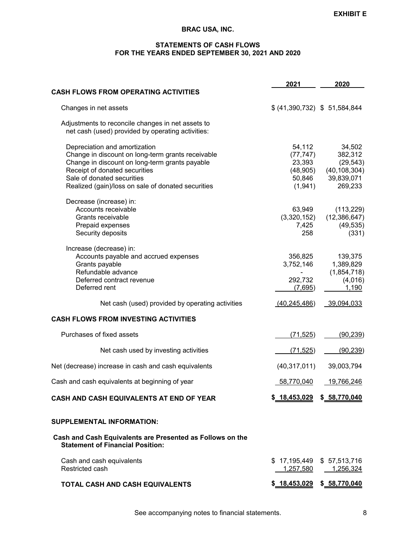# **STATEMENTS OF CASH FLOWS FOR THE YEARS ENDED SEPTEMBER 30, 2021 AND 2020**

|                                                                                                                                                                                                                                                           | 2021                                                            | 2020                                                                      |
|-----------------------------------------------------------------------------------------------------------------------------------------------------------------------------------------------------------------------------------------------------------|-----------------------------------------------------------------|---------------------------------------------------------------------------|
| <b>CASH FLOWS FROM OPERATING ACTIVITIES</b>                                                                                                                                                                                                               |                                                                 |                                                                           |
| Changes in net assets                                                                                                                                                                                                                                     | \$ (41,390,732) \$ 51,584,844                                   |                                                                           |
| Adjustments to reconcile changes in net assets to<br>net cash (used) provided by operating activities:                                                                                                                                                    |                                                                 |                                                                           |
| Depreciation and amortization<br>Change in discount on long-term grants receivable<br>Change in discount on long-term grants payable<br>Receipt of donated securities<br>Sale of donated securities<br>Realized (gain)/loss on sale of donated securities | 54,112<br>(77, 747)<br>23,393<br>(48, 905)<br>50,846<br>(1,941) | 34,502<br>382,312<br>(29, 543)<br>(40, 108, 304)<br>39,839,071<br>269,233 |
| Decrease (increase) in:<br>Accounts receivable<br>Grants receivable<br>Prepaid expenses<br>Security deposits                                                                                                                                              | 63,949<br>(3,320,152)<br>7,425<br>258                           | (113, 229)<br>(12, 386, 647)<br>(49, 535)<br>(331)                        |
| Increase (decrease) in:<br>Accounts payable and accrued expenses<br>Grants payable<br>Refundable advance<br>Deferred contract revenue<br>Deferred rent                                                                                                    | 356,825<br>3,752,146<br>292,732<br>(7,695)                      | 139,375<br>1,389,829<br>(1,854,718)<br>(4,016)<br>1,190                   |
| Net cash (used) provided by operating activities                                                                                                                                                                                                          | (40, 245, 486)                                                  | 39,094,033                                                                |
| <b>CASH FLOWS FROM INVESTING ACTIVITIES</b>                                                                                                                                                                                                               |                                                                 |                                                                           |
| Purchases of fixed assets                                                                                                                                                                                                                                 | (71, 525)                                                       | (90, 239)                                                                 |
| Net cash used by investing activities                                                                                                                                                                                                                     | (71, 525)                                                       | (90, 239)                                                                 |
| Net (decrease) increase in cash and cash equivalents                                                                                                                                                                                                      | (40, 317, 011)                                                  | 39,003,794                                                                |
| Cash and cash equivalents at beginning of year                                                                                                                                                                                                            | 58,770,040                                                      | 19,766,246                                                                |
| CASH AND CASH EQUIVALENTS AT END OF YEAR                                                                                                                                                                                                                  | \$ 18,453,029 \$ 58,770,040                                     |                                                                           |
| <b>SUPPLEMENTAL INFORMATION:</b>                                                                                                                                                                                                                          |                                                                 |                                                                           |
| Cash and Cash Equivalents are Presented as Follows on the<br><b>Statement of Financial Position:</b>                                                                                                                                                      |                                                                 |                                                                           |
| Cash and cash equivalents<br>Restricted cash                                                                                                                                                                                                              | \$17,195,449 \$57,513,716<br><u>1,257,580</u>                   | 1,256,324                                                                 |
| TOTAL CASH AND CASH EQUIVALENTS                                                                                                                                                                                                                           | \$ 18,453,029 \$ 58,770,040                                     |                                                                           |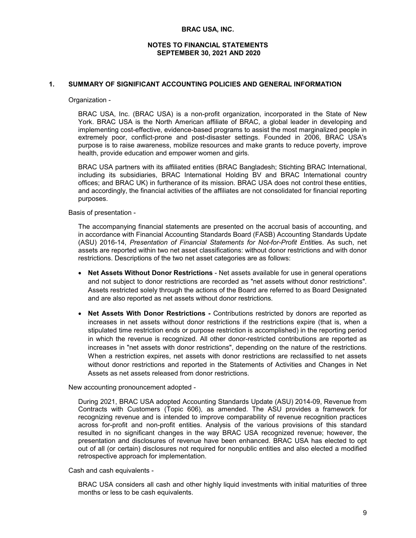### **NOTES TO FINANCIAL STATEMENTS SEPTEMBER 30, 2021 AND 2020**

#### **1. SUMMARY OF SIGNIFICANT ACCOUNTING POLICIES AND GENERAL INFORMATION**

Organization -

BRAC USA, Inc. (BRAC USA) is a non-profit organization, incorporated in the State of New York. BRAC USA is the North American affiliate of BRAC, a global leader in developing and implementing cost-effective, evidence-based programs to assist the most marginalized people in extremely poor, conflict-prone and post-disaster settings. Founded in 2006, BRAC USA's purpose is to raise awareness, mobilize resources and make grants to reduce poverty, improve health, provide education and empower women and girls.

BRAC USA partners with its affiliated entities (BRAC Bangladesh; Stichting BRAC International, including its subsidiaries, BRAC International Holding BV and BRAC International country offices; and BRAC UK) in furtherance of its mission. BRAC USA does not control these entities, and accordingly, the financial activities of the affiliates are not consolidated for financial reporting purposes.

Basis of presentation -

The accompanying financial statements are presented on the accrual basis of accounting, and in accordance with Financial Accounting Standards Board (FASB) Accounting Standards Update (ASU) 2016-14, *Presentation of Financial Statements for Not-for-Profit Entitie*s. As such, net assets are reported within two net asset classifications: without donor restrictions and with donor restrictions. Descriptions of the two net asset categories are as follows:

- **Net Assets Without Donor Restrictions** Net assets available for use in general operations and not subject to donor restrictions are recorded as "net assets without donor restrictions". Assets restricted solely through the actions of the Board are referred to as Board Designated and are also reported as net assets without donor restrictions.
- **Net Assets With Donor Restrictions -** Contributions restricted by donors are reported as increases in net assets without donor restrictions if the restrictions expire (that is, when a stipulated time restriction ends or purpose restriction is accomplished) in the reporting period in which the revenue is recognized. All other donor-restricted contributions are reported as increases in "net assets with donor restrictions", depending on the nature of the restrictions. When a restriction expires, net assets with donor restrictions are reclassified to net assets without donor restrictions and reported in the Statements of Activities and Changes in Net Assets as net assets released from donor restrictions.

New accounting pronouncement adopted -

During 2021, BRAC USA adopted Accounting Standards Update (ASU) 2014-09, Revenue from Contracts with Customers (Topic 606), as amended. The ASU provides a framework for recognizing revenue and is intended to improve comparability of revenue recognition practices across for-profit and non-profit entities. Analysis of the various provisions of this standard resulted in no significant changes in the way BRAC USA recognized revenue; however, the presentation and disclosures of revenue have been enhanced. BRAC USA has elected to opt out of all (or certain) disclosures not required for nonpublic entities and also elected a modified retrospective approach for implementation.

Cash and cash equivalents -

BRAC USA considers all cash and other highly liquid investments with initial maturities of three months or less to be cash equivalents.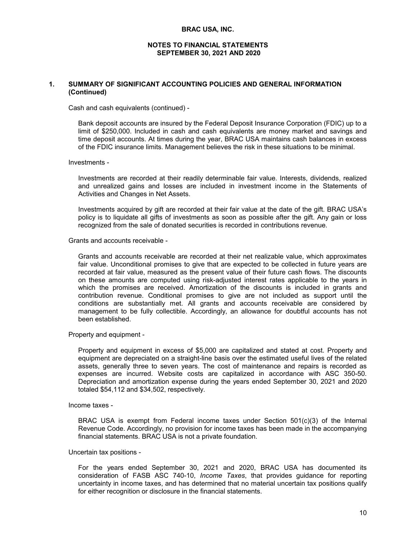### **1. SUMMARY OF SIGNIFICANT ACCOUNTING POLICIES AND GENERAL INFORMATION (Continued)**

Cash and cash equivalents (continued) -

Bank deposit accounts are insured by the Federal Deposit Insurance Corporation (FDIC) up to a limit of \$250,000. Included in cash and cash equivalents are money market and savings and time deposit accounts. At times during the year, BRAC USA maintains cash balances in excess of the FDIC insurance limits. Management believes the risk in these situations to be minimal.

Investments -

Investments are recorded at their readily determinable fair value. Interests, dividends, realized and unrealized gains and losses are included in investment income in the Statements of Activities and Changes in Net Assets.

Investments acquired by gift are recorded at their fair value at the date of the gift. BRAC USA's policy is to liquidate all gifts of investments as soon as possible after the gift. Any gain or loss recognized from the sale of donated securities is recorded in contributions revenue.

Grants and accounts receivable -

Grants and accounts receivable are recorded at their net realizable value, which approximates fair value. Unconditional promises to give that are expected to be collected in future years are recorded at fair value, measured as the present value of their future cash flows. The discounts on these amounts are computed using risk-adjusted interest rates applicable to the years in which the promises are received. Amortization of the discounts is included in grants and contribution revenue. Conditional promises to give are not included as support until the conditions are substantially met. All grants and accounts receivable are considered by management to be fully collectible. Accordingly, an allowance for doubtful accounts has not been established.

Property and equipment -

Property and equipment in excess of \$5,000 are capitalized and stated at cost. Property and equipment are depreciated on a straight-line basis over the estimated useful lives of the related assets, generally three to seven years. The cost of maintenance and repairs is recorded as expenses are incurred. Website costs are capitalized in accordance with ASC 350-50. Depreciation and amortization expense during the years ended September 30, 2021 and 2020 totaled \$54,112 and \$34,502, respectively.

Income taxes -

BRAC USA is exempt from Federal income taxes under Section 501(c)(3) of the Internal Revenue Code. Accordingly, no provision for income taxes has been made in the accompanying financial statements. BRAC USA is not a private foundation.

Uncertain tax positions -

For the years ended September 30, 2021 and 2020, BRAC USA has documented its consideration of FASB ASC 740-10, *Income Taxes*, that provides guidance for reporting uncertainty in income taxes, and has determined that no material uncertain tax positions qualify for either recognition or disclosure in the financial statements.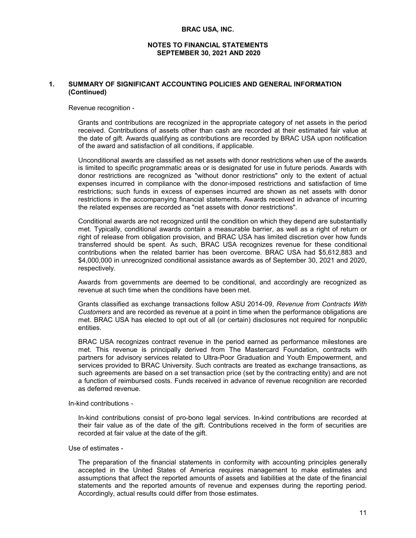#### **NOTES TO FINANCIAL STATEMENTS SEPTEMBER 30, 2021 AND 2020**

# **1. SUMMARY OF SIGNIFICANT ACCOUNTING POLICIES AND GENERAL INFORMATION (Continued)**

Revenue recognition -

Grants and contributions are recognized in the appropriate category of net assets in the period received. Contributions of assets other than cash are recorded at their estimated fair value at the date of gift. Awards qualifying as contributions are recorded by BRAC USA upon notification of the award and satisfaction of all conditions, if applicable.

Unconditional awards are classified as net assets with donor restrictions when use of the awards is limited to specific programmatic areas or is designated for use in future periods. Awards with donor restrictions are recognized as "without donor restrictions" only to the extent of actual expenses incurred in compliance with the donor-imposed restrictions and satisfaction of time restrictions; such funds in excess of expenses incurred are shown as net assets with donor restrictions in the accompanying financial statements. Awards received in advance of incurring the related expenses are recorded as "net assets with donor restrictions".

Conditional awards are not recognized until the condition on which they depend are substantially met. Typically, conditional awards contain a measurable barrier, as well as a right of return or right of release from obligation provision, and BRAC USA has limited discretion over how funds transferred should be spent. As such, BRAC USA recognizes revenue for these conditional contributions when the related barrier has been overcome. BRAC USA had \$5,612,883 and \$4,000,000 in unrecognized conditional assistance awards as of September 30, 2021 and 2020, respectively.

Awards from governments are deemed to be conditional, and accordingly are recognized as revenue at such time when the conditions have been met.

Grants classified as exchange transactions follow ASU 2014-09, *Revenue from Contracts With Customers* and are recorded as revenue at a point in time when the performance obligations are met. BRAC USA has elected to opt out of all (or certain) disclosures not required for nonpublic entities.

BRAC USA recognizes contract revenue in the period earned as performance milestones are met. This revenue is principally derived from The Mastercard Foundation, contracts with partners for advisory services related to Ultra-Poor Graduation and Youth Empowerment, and services provided to BRAC University. Such contracts are treated as exchange transactions, as such agreements are based on a set transaction price (set by the contracting entity) and are not a function of reimbursed costs. Funds received in advance of revenue recognition are recorded as deferred revenue.

In-kind contributions -

In-kind contributions consist of pro-bono legal services. In-kind contributions are recorded at their fair value as of the date of the gift. Contributions received in the form of securities are recorded at fair value at the date of the gift.

## Use of estimates -

The preparation of the financial statements in conformity with accounting principles generally accepted in the United States of America requires management to make estimates and assumptions that affect the reported amounts of assets and liabilities at the date of the financial statements and the reported amounts of revenue and expenses during the reporting period. Accordingly, actual results could differ from those estimates.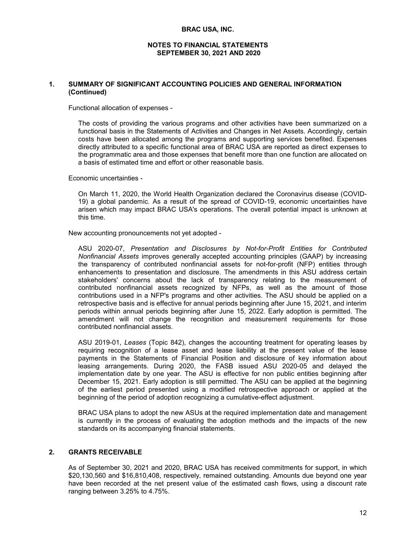## **1. SUMMARY OF SIGNIFICANT ACCOUNTING POLICIES AND GENERAL INFORMATION (Continued)**

Functional allocation of expenses -

The costs of providing the various programs and other activities have been summarized on a functional basis in the Statements of Activities and Changes in Net Assets. Accordingly, certain costs have been allocated among the programs and supporting services benefited. Expenses directly attributed to a specific functional area of BRAC USA are reported as direct expenses to the programmatic area and those expenses that benefit more than one function are allocated on a basis of estimated time and effort or other reasonable basis.

Economic uncertainties -

On March 11, 2020, the World Health Organization declared the Coronavirus disease (COVID-19) a global pandemic. As a result of the spread of COVID-19, economic uncertainties have arisen which may impact BRAC USA's operations. The overall potential impact is unknown at this time.

New accounting pronouncements not yet adopted -

ASU 2020-07, *Presentation and Disclosures by Not-for-Profit Entities for Contributed Nonfinancial Assets* improves generally accepted accounting principles (GAAP) by increasing the transparency of contributed nonfinancial assets for not-for-profit (NFP) entities through enhancements to presentation and disclosure. The amendments in this ASU address certain stakeholders' concerns about the lack of transparency relating to the measurement of contributed nonfinancial assets recognized by NFPs, as well as the amount of those contributions used in a NFP's programs and other activities. The ASU should be applied on a retrospective basis and is effective for annual periods beginning after June 15, 2021, and interim periods within annual periods beginning after June 15, 2022. Early adoption is permitted. The amendment will not change the recognition and measurement requirements for those contributed nonfinancial assets.

ASU 2019-01, *Leases* (Topic 842), changes the accounting treatment for operating leases by requiring recognition of a lease asset and lease liability at the present value of the lease payments in the Statements of Financial Position and disclosure of key information about leasing arrangements. During 2020, the FASB issued ASU 2020-05 and delayed the implementation date by one year. The ASU is effective for non public entities beginning after December 15, 2021. Early adoption is still permitted. The ASU can be applied at the beginning of the earliest period presented using a modified retrospective approach or applied at the beginning of the period of adoption recognizing a cumulative-effect adjustment.

BRAC USA plans to adopt the new ASUs at the required implementation date and management is currently in the process of evaluating the adoption methods and the impacts of the new standards on its accompanying financial statements.

# **2. GRANTS RECEIVABLE**

As of September 30, 2021 and 2020, BRAC USA has received commitments for support, in which \$20,130,560 and \$16,810,408, respectively, remained outstanding. Amounts due beyond one year have been recorded at the net present value of the estimated cash flows, using a discount rate ranging between 3.25% to 4.75%.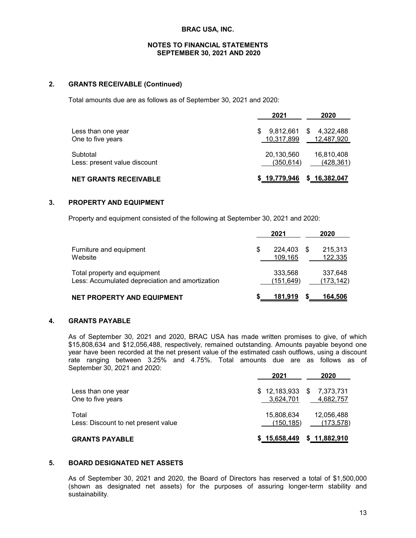## **2. GRANTS RECEIVABLE (Continued)**

Total amounts due are as follows as of September 30, 2021 and 2020:

|                                          | 2021                     | 2020                          |
|------------------------------------------|--------------------------|-------------------------------|
| Less than one year<br>One to five years  | 9,812,661<br>10,317,899  | 4,322,488<br>S.<br>12,487,920 |
| Subtotal<br>Less: present value discount | 20,130,560<br>(350, 614) | 16,810,408<br>(428, 361)      |
| <b>NET GRANTS RECEIVABLE</b>             | \$ 19,779,946            | \$ <u>16,382,047</u>          |

## **3. PROPERTY AND EQUIPMENT**

Property and equipment consisted of the following at September 30, 2021 and 2020:

|                                                                                 |   | 2021                  | 2020                  |
|---------------------------------------------------------------------------------|---|-----------------------|-----------------------|
| Furniture and equipment<br>Website                                              | S | 224.403<br>109,165    | 215,313<br>122,335    |
| Total property and equipment<br>Less: Accumulated depreciation and amortization |   | 333,568<br>(151, 649) | 337,648<br>(173, 142) |
| NET PROPERTY AND EQUIPMENT                                                      |   | 181,919               | 164,506               |

#### **4. GRANTS PAYABLE**

As of September 30, 2021 and 2020, BRAC USA has made written promises to give, of which \$15,808,634 and \$12,056,488, respectively, remained outstanding. Amounts payable beyond one year have been recorded at the net present value of the estimated cash outflows, using a discount rate ranging between 3.25% and 4.75%. Total amounts due are as follows as of September 30, 2021 and 2020:

|                                              | 2021                                    | 2020                     |
|----------------------------------------------|-----------------------------------------|--------------------------|
| Less than one year<br>One to five years      | $$12,183,933$ $$7,373,731$<br>3.624.701 | 4,682,757                |
| Total<br>Less: Discount to net present value | 15,808,634<br>(150, 185)                | 12,056,488<br>(173, 578) |
| <b>GRANTS PAYABLE</b>                        | \$15,658,449                            | \$11,882,910             |

# **5. BOARD DESIGNATED NET ASSETS**

As of September 30, 2021 and 2020, the Board of Directors has reserved a total of \$1,500,000 (shown as designated net assets) for the purposes of assuring longer-term stability and sustainability.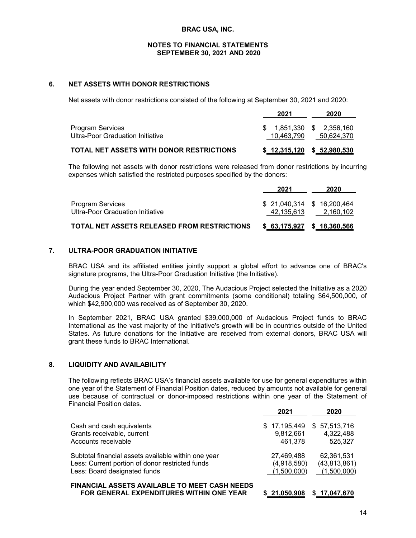## **6. NET ASSETS WITH DONOR RESTRICTIONS**

Net assets with donor restrictions consisted of the following at September 30, 2021 and 2020:

|                                                      | 2021                      | 2020                      |
|------------------------------------------------------|---------------------------|---------------------------|
| Program Services<br>Ultra-Poor Graduation Initiative | $$1,851,330$ $$2,356,160$ | 10.463.790 50.624.370     |
| TOTAL NET ASSETS WITH DONOR RESTRICTIONS             |                           | \$12,315,120 \$52,980,530 |

The following net assets with donor restrictions were released from donor restrictions by incurring expenses which satisfied the restricted purposes specified by the donors:

|                                                      | 2021                        | 2020                        |
|------------------------------------------------------|-----------------------------|-----------------------------|
| Program Services<br>Ultra-Poor Graduation Initiative | \$ 21,040,314 \$ 16,200,464 |                             |
| TOTAL NET ASSETS RELEASED FROM RESTRICTIONS          |                             | \$ 63,175,927 \$ 18,360,566 |

# **7. ULTRA-POOR GRADUATION INITIATIVE**

BRAC USA and its affiliated entities jointly support a global effort to advance one of BRAC's signature programs, the Ultra-Poor Graduation Initiative (the Initiative).

During the year ended September 30, 2020, The Audacious Project selected the Initiative as a 2020 Audacious Project Partner with grant commitments (some conditional) totaling \$64,500,000, of which \$42,900,000 was received as of September 30, 2020.

In September 2021, BRAC USA granted \$39,000,000 of Audacious Project funds to BRAC International as the vast majority of the Initiative's growth will be in countries outside of the United States. As future donations for the Initiative are received from external donors, BRAC USA will grant these funds to BRAC International.

#### **8. LIQUIDITY AND AVAILABILITY**

The following reflects BRAC USA's financial assets available for use for general expenditures within one year of the Statement of Financial Position dates, reduced by amounts not available for general use because of contractual or donor-imposed restrictions within one year of the Statement of Financial Position dates.

|                                                                                                                                        | 2021                                     | 2020                                        |
|----------------------------------------------------------------------------------------------------------------------------------------|------------------------------------------|---------------------------------------------|
| Cash and cash equivalents<br>Grants receivable, current                                                                                | \$17,195,449<br>9,812,661                | \$57,513,716<br>4,322,488                   |
| Accounts receivable                                                                                                                    | 461.378                                  | 525,327                                     |
| Subtotal financial assets available within one year<br>Less: Current portion of donor restricted funds<br>Less: Board designated funds | 27.469.488<br>(4,918,580)<br>(1,500,000) | 62,361,531<br>(43, 813, 861)<br>(1,500,000) |
| <b>EINANCIAL ACCETC AVAILADLE TO MEET CACH NEEDS</b>                                                                                   |                                          |                                             |

**FINANCIAL ASSETS AVAILABLE TO MEET CASH NEEDS FOR GENERAL EXPENDITURES WITHIN ONE YEAR \$ 21,050,908 \$ 17,047,670**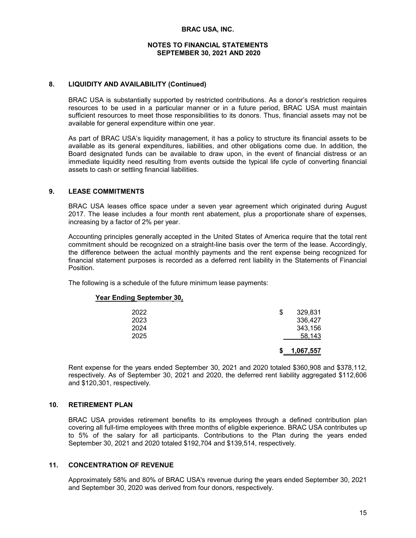## **8. LIQUIDITY AND AVAILABILITY (Continued)**

BRAC USA is substantially supported by restricted contributions. As a donor's restriction requires resources to be used in a particular manner or in a future period, BRAC USA must maintain sufficient resources to meet those responsibilities to its donors. Thus, financial assets may not be available for general expenditure within one year.

As part of BRAC USA's liquidity management, it has a policy to structure its financial assets to be available as its general expenditures, liabilities, and other obligations come due. In addition, the Board designated funds can be available to draw upon, in the event of financial distress or an immediate liquidity need resulting from events outside the typical life cycle of converting financial assets to cash or settling financial liabilities.

### **9. LEASE COMMITMENTS**

BRAC USA leases office space under a seven year agreement which originated during August 2017. The lease includes a four month rent abatement, plus a proportionate share of expenses, increasing by a factor of 2% per year.

Accounting principles generally accepted in the United States of America require that the total rent commitment should be recognized on a straight-line basis over the term of the lease. Accordingly, the difference between the actual monthly payments and the rent expense being recognized for financial statement purposes is recorded as a deferred rent liability in the Statements of Financial Position.

The following is a schedule of the future minimum lease payments:

|      |   | 1,067,557 |
|------|---|-----------|
| 2025 |   | 58,143    |
| 2024 |   | 343,156   |
| 2023 |   | 336,427   |
| 2022 | S | 329,831   |
|      |   |           |

#### **Year Ending September 30,**

Rent expense for the years ended September 30, 2021 and 2020 totaled \$360,908 and \$378,112, respectively. As of September 30, 2021 and 2020, the deferred rent liability aggregated \$112,606 and \$120,301, respectively.

## **10. RETIREMENT PLAN**

BRAC USA provides retirement benefits to its employees through a defined contribution plan covering all full-time employees with three months of eligible experience. BRAC USA contributes up to 5% of the salary for all participants. Contributions to the Plan during the years ended September 30, 2021 and 2020 totaled \$192,704 and \$139,514, respectively.

## **11. CONCENTRATION OF REVENUE**

Approximately 58% and 80% of BRAC USA's revenue during the years ended September 30, 2021 and September 30, 2020 was derived from four donors, respectively.